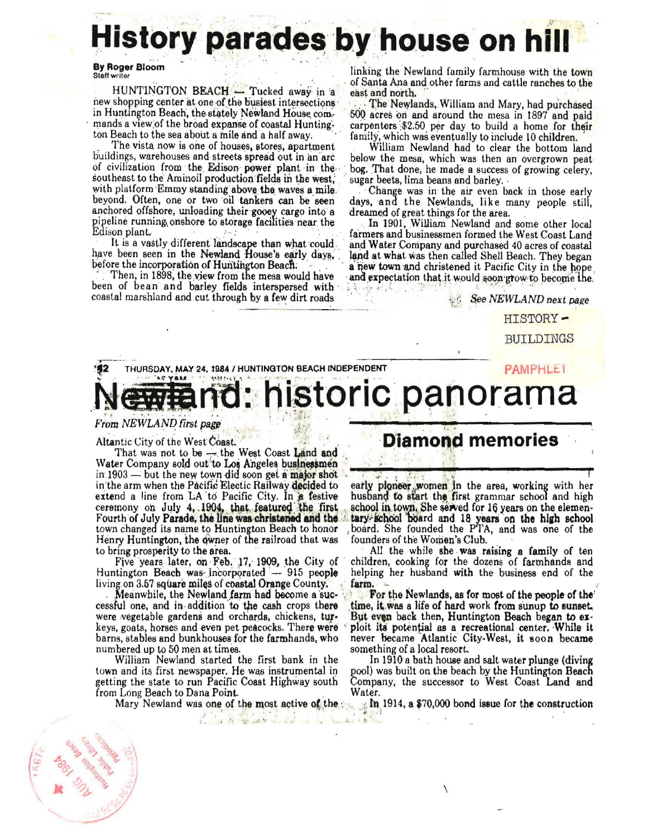## History parades by house on hill

**By Roger Bloom** Staff writer

HUNTINGTON BEACH - Tucked away in a new shopping center at one of the busiest intersections in Huntington Beach, the stately Newland House commands a view of the broad expanse of coastal Hunting. ton Beach to the sea about a mile and a half away.

The vista now is one of houses, stores, apartment buildings, warehouses and streets spread out in an arc of civilization from the Edison power plant in the southeast to the Aminoil production fields in the west. with platform Emmy standing above the waves a mile. beyond. Often, one or two oil tankers can be seen anchored offshore, unloading their gooey cargo into a pipeline running onshore to storage facilities near the Edison plant.

It is a vastly different landscape than what could. have been seen in the Newland House's early days, before the incorporation of Huntington Beach.

Then, in 1898, the view from the mesa would have been of bean and barley fields interspersed with coastal marshland and cut through by a few dirt roads linking the Newland family farmhouse with the town of Santa Ana and other farms and cattle ranches to the east and north.

The Newlands, William and Mary, had purchased 500 acres on and around the mesa in 1897 and paid carpenters \$2.50 per day to build a home for their family, which was eventually to include 10 children.

William Newland had to clear the bottom land below the mesa, which was then an overgrown peat bog. That done, he made a success of growing celery, sugar beets, lima beans and barley.

Change was in the air even back in those early days, and the Newlands, like many people still, dreamed of great things for the area.

In 1901, William Newland and some other local farmers and businessmen formed the West Coast Land and Water Company and purchased 40 acres of coastal land at what was then called Shell Beach. They began a new town and christened it Pacific City in the hope and expectation that it would soon grow to become the. a kinde at Ann and

See NEWLAND next page

HISTORY-

**BUILDINGS** 

## THURSDAY, MAY 24, 1984 / HUNTINGTON BEACH INDEPENDENT **PAMPHLET** - AC YAM historic panorama

## From NEWLAND first page

Altantic City of the West Coast.

That was not to be  $\rightarrow$  the West Coast Land and Water Company sold out to Los Angeles businessmen in  $1903$  — but the new town did soon get a major shot in the arm when the Pacific Electic Railway decided to extend a line from LA to Pacific City. In a festive ceremony on July 4, 1904, that featured the first Fourth of July Parade, the line was christened and the town changed its name to Huntington Beach to honor Henry Huntington, the owner of the railroad that was to bring prosperity to the area.

Five years later, on Feb. 17, 1909, the City of Huntington Beach was incorporated - 915 people living on 3.57 square miles of coastal Orange County.

Meanwhile, the Newland farm had become a successful one, and in addition to the cash crops there were vegetable gardens and orchards, chickens, turkeys, goats, horses and even pet peacocks. There were barns, stables and bunkhouses for the farmhands, who numbered up to 50 men at times.

William Newland started the first bank in the town and its first newspaper. He was instrumental in getting the state to run Pacific Coast Highway south from Long Beach to Dana Point.

Mary Newland was one of the most active of the

or the one of a

 $\mathcal{A}$ 

## **Diamond memories**

early pioneer women in the area, working with her husband to start the first grammar school and high school in town. She served for 16 years on the elementary school board and 18 years on the high school board. She founded the PTA, and was one of the founders of the Women's Club.

All the while she was raising a family of ten children, cooking for the dozens of farmhands and helping her husband with the business end of the farm.

For the Newlands, as for most of the people of the time, it was a life of hard work from sunup to sunset. But even back then, Huntington Beach began to exploit its potential as a recreational center. While it never became Atlantic City-West, it soon became something of a local resort.

In 1910 a bath house and salt water plunge (diving pool) was built on the beach by the Huntington Beach Company, the successor to West Coast Land and Water.

 $\sqrt{2}$ 

 $\frac{1}{2}$  In 1914, a \$70,000 bond issue for the construction